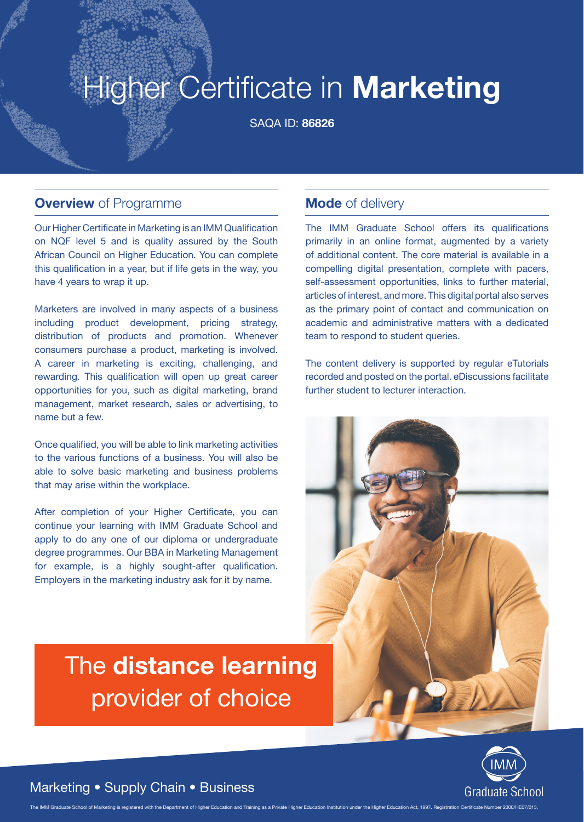# Higher Certificate in **Marketing**

SAQA ID: **86826**

#### **Overview** of Programme

Our Higher Certificate in Marketing is an IMM Qualification on NQF level 5 and is quality assured by the South African Council on Higher Education. You can complete this qualification in a year, but if life gets in the way, you have 4 years to wrap it up.

Marketers are involved in many aspects of a business including product development, pricing strategy, distribution of products and promotion. Whenever consumers purchase a product, marketing is involved. A career in marketing is exciting, challenging, and rewarding. This qualification will open up great career opportunities for you, such as digital marketing, brand management, market research, sales or advertising, to name but a few.

Once qualified, you will be able to link marketing activities to the various functions of a business. You will also be able to solve basic marketing and business problems that may arise within the workplace.

After completion of your Higher Certificate, you can continue your learning with IMM Graduate School and apply to do any one of our diploma or undergraduate degree programmes. Our BBA in Marketing Management for example, is a highly sought-after qualification. Employers in the marketing industry ask for it by name.

# The **distance learning**  provider of choice

#### **Mode** of delivery

The IMM Graduate School offers its qualifications primarily in an online format, augmented by a variety of additional content. The core material is available in a compelling digital presentation, complete with pacers, self-assessment opportunities, links to further material, articles of interest, and more. This digital portal also serves as the primary point of contact and communication on academic and administrative matters with a dedicated team to respond to student queries.

The content delivery is supported by regular eTutorials recorded and posted on the portal. eDiscussions facilitate further student to lecturer interaction.





#### Marketing • Supply Chain • Business

The IMM Graduate School of Marketing is registered with the Department of Higher Education and Training as a Private Higher Education Institution under the Higher Education Act. 1997. Registration Certificate Number 2000/H